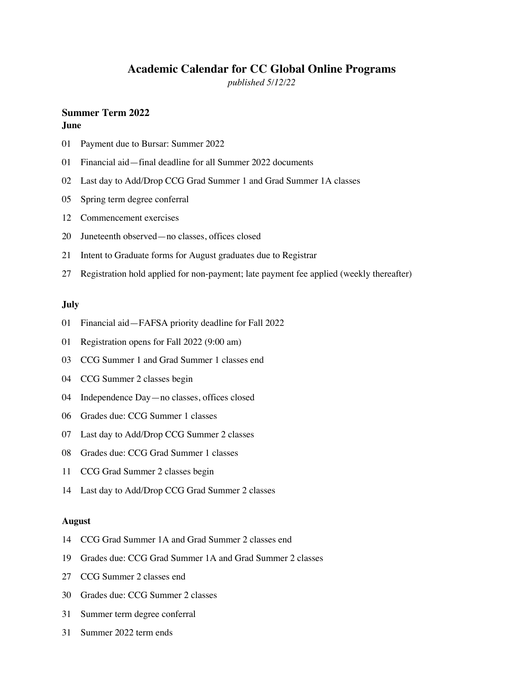# **Academic Calendar for CC Global Online Programs**

*published 5/12/22*

# **Summer Term 2022**

# **June**

- 01 Payment due to Bursar: Summer 2022
- 01 Financial aid—final deadline for all Summer 2022 documents
- 02 Last day to Add/Drop CCG Grad Summer 1 and Grad Summer 1A classes
- 05 Spring term degree conferral
- 12 Commencement exercises
- 20 Juneteenth observed—no classes, offices closed
- 21 Intent to Graduate forms for August graduates due to Registrar
- 27 Registration hold applied for non-payment; late payment fee applied (weekly thereafter)

# **July**

- 01 Financial aid—FAFSA priority deadline for Fall 2022
- 01 Registration opens for Fall 2022 (9:00 am)
- 03 CCG Summer 1 and Grad Summer 1 classes end
- 04 CCG Summer 2 classes begin
- 04 Independence Day—no classes, offices closed
- 06 Grades due: CCG Summer 1 classes
- 07 Last day to Add/Drop CCG Summer 2 classes
- 08 Grades due: CCG Grad Summer 1 classes
- 11 CCG Grad Summer 2 classes begin
- 14 Last day to Add/Drop CCG Grad Summer 2 classes

### **August**

- 14 CCG Grad Summer 1A and Grad Summer 2 classes end
- 19 Grades due: CCG Grad Summer 1A and Grad Summer 2 classes
- 27 CCG Summer 2 classes end
- 30 Grades due: CCG Summer 2 classes
- 31 Summer term degree conferral
- 31 Summer 2022 term ends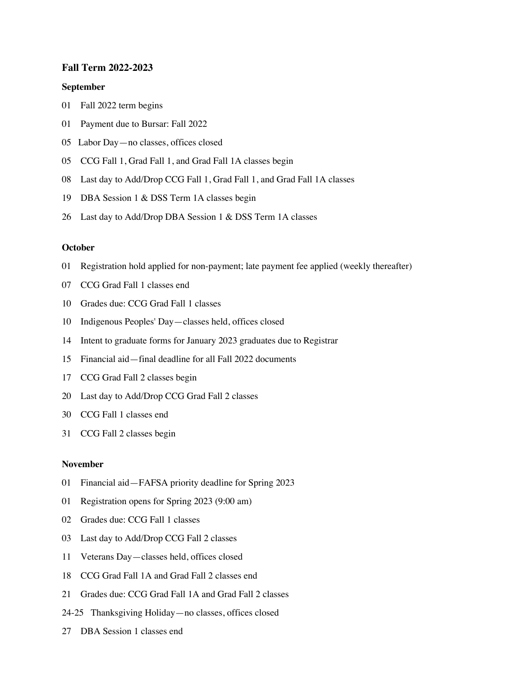# **Fall Term 2022-2023**

#### **September**

- 01 Fall 2022 term begins
- 01 Payment due to Bursar: Fall 2022
- 05 Labor Day—no classes, offices closed
- 05 CCG Fall 1, Grad Fall 1, and Grad Fall 1A classes begin
- 08 Last day to Add/Drop CCG Fall 1, Grad Fall 1, and Grad Fall 1A classes
- 19 DBA Session 1 & DSS Term 1A classes begin
- 26 Last day to Add/Drop DBA Session 1 & DSS Term 1A classes

# **October**

- 01 Registration hold applied for non-payment; late payment fee applied (weekly thereafter)
- 07 CCG Grad Fall 1 classes end
- 10 Grades due: CCG Grad Fall 1 classes
- 10 Indigenous Peoples' Day—classes held, offices closed
- 14 Intent to graduate forms for January 2023 graduates due to Registrar
- 15 Financial aid—final deadline for all Fall 2022 documents
- 17 CCG Grad Fall 2 classes begin
- 20 Last day to Add/Drop CCG Grad Fall 2 classes
- 30 CCG Fall 1 classes end
- 31 CCG Fall 2 classes begin

#### **November**

- 01 Financial aid—FAFSA priority deadline for Spring 2023
- 01 Registration opens for Spring 2023 (9:00 am)
- 02 Grades due: CCG Fall 1 classes
- 03 Last day to Add/Drop CCG Fall 2 classes
- 11 Veterans Day—classes held, offices closed
- 18 CCG Grad Fall 1A and Grad Fall 2 classes end
- 21 Grades due: CCG Grad Fall 1A and Grad Fall 2 classes
- 24-25 Thanksgiving Holiday—no classes, offices closed
- 27 DBA Session 1 classes end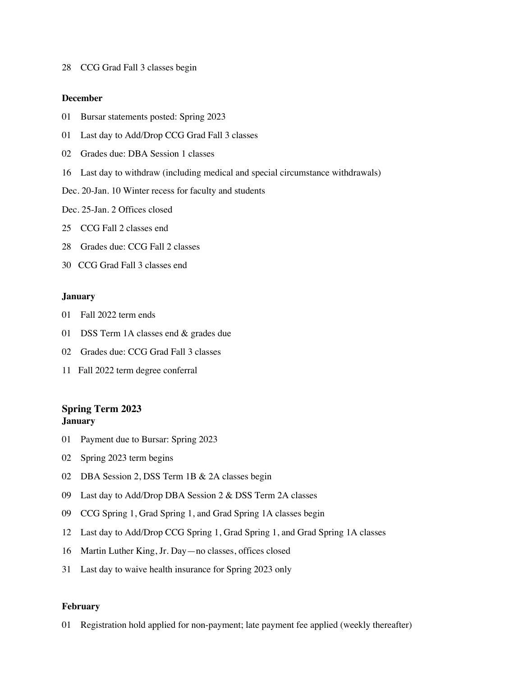28 CCG Grad Fall 3 classes begin

# **December**

- 01 Bursar statements posted: Spring 2023
- 01 Last day to Add/Drop CCG Grad Fall 3 classes
- 02 Grades due: DBA Session 1 classes
- 16 Last day to withdraw (including medical and special circumstance withdrawals)
- Dec. 20-Jan. 10 Winter recess for faculty and students
- Dec. 25-Jan. 2 Offices closed
- 25 CCG Fall 2 classes end
- 28 Grades due: CCG Fall 2 classes
- 30 CCG Grad Fall 3 classes end

## **January**

- 01 Fall 2022 term ends
- 01 DSS Term 1A classes end & grades due
- 02 Grades due: CCG Grad Fall 3 classes
- 11 Fall 2022 term degree conferral

# **Spring Term 2023 January**

- 01 Payment due to Bursar: Spring 2023
- 02 Spring 2023 term begins
- 02 DBA Session 2, DSS Term 1B & 2A classes begin
- 09 Last day to Add/Drop DBA Session 2 & DSS Term 2A classes
- 09 CCG Spring 1, Grad Spring 1, and Grad Spring 1A classes begin
- 12 Last day to Add/Drop CCG Spring 1, Grad Spring 1, and Grad Spring 1A classes
- 16 Martin Luther King, Jr. Day—no classes, offices closed
- 31 Last day to waive health insurance for Spring 2023 only

### **February**

01 Registration hold applied for non-payment; late payment fee applied (weekly thereafter)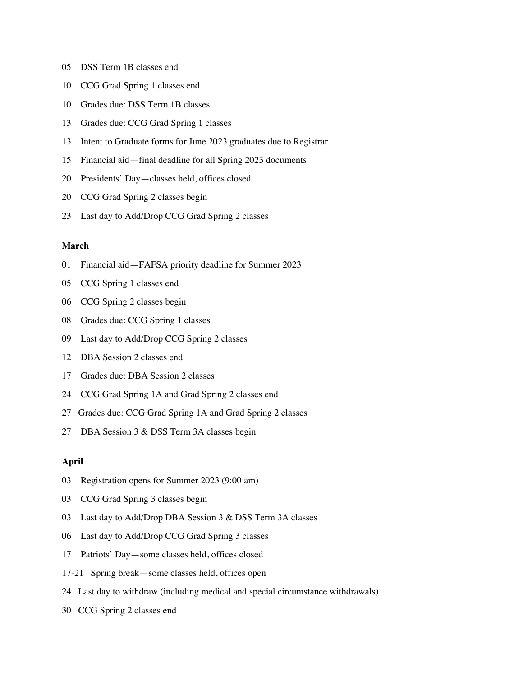- 05 DSS Term 1B classes end
- 10 CCG Grad Spring 1 classes end
- 10 Grades due: DSS Term 1B classes
- 13 Grades due: CCG Grad Spring 1 classes
- 13 Intent to Graduate forms for June 2023 graduates due to Registrar
- 15 Financial aid—final deadline for all Spring 2023 documents
- 20 Presidents' Day—classes held, offices closed
- 20 CCG Grad Spring 2 classes begin
- 23 Last day to Add/Drop CCG Grad Spring 2 classes

# **March**

- 01 Financial aid—FAFSA priority deadline for Summer 2023
- 05 CCG Spring 1 classes end
- 06 CCG Spring 2 classes begin
- 08 Grades due: CCG Spring 1 classes
- 09 Last day to Add/Drop CCG Spring 2 classes
- 12 DBA Session 2 classes end
- 17 Grades due: DBA Session 2 classes
- 24 CCG Grad Spring 1A and Grad Spring 2 classes end
- 27 Grades due: CCG Grad Spring 1A and Grad Spring 2 classes
- 27 DBA Session 3 & DSS Term 3A classes begin

# **April**

- 03 Registration opens for Summer 2023 (9:00 am)
- 03 CCG Grad Spring 3 classes begin
- 03 Last day to Add/Drop DBA Session 3 & DSS Term 3A classes
- 06 Last day to Add/Drop CCG Grad Spring 3 classes
- 17 Patriots' Day—some classes held, offices closed
- 17-21 Spring break—some classes held, offices open
- 24 Last day to withdraw (including medical and special circumstance withdrawals)
- 30 CCG Spring 2 classes end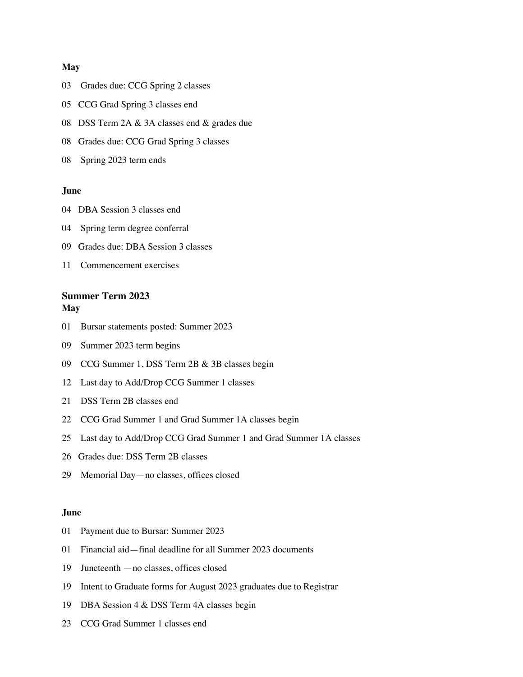#### **May**

- 03 Grades due: CCG Spring 2 classes
- 05 CCG Grad Spring 3 classes end
- 08 DSS Term 2A & 3A classes end & grades due
- 08 Grades due: CCG Grad Spring 3 classes
- 08 Spring 2023 term ends

## **June**

- 04 DBA Session 3 classes end
- 04 Spring term degree conferral
- 09 Grades due: DBA Session 3 classes
- 11 Commencement exercises

# **Summer Term 2023 May**

- 01 Bursar statements posted: Summer 2023
- 09 Summer 2023 term begins
- 09 CCG Summer 1, DSS Term 2B & 3B classes begin
- 12 Last day to Add/Drop CCG Summer 1 classes
- 21 DSS Term 2B classes end
- 22 CCG Grad Summer 1 and Grad Summer 1A classes begin
- 25 Last day to Add/Drop CCG Grad Summer 1 and Grad Summer 1A classes
- 26 Grades due: DSS Term 2B classes
- 29 Memorial Day—no classes, offices closed

# **June**

- 01 Payment due to Bursar: Summer 2023
- 01 Financial aid—final deadline for all Summer 2023 documents
- 19 Juneteenth —no classes, offices closed
- 19 Intent to Graduate forms for August 2023 graduates due to Registrar
- 19 DBA Session 4 & DSS Term 4A classes begin
- 23 CCG Grad Summer 1 classes end